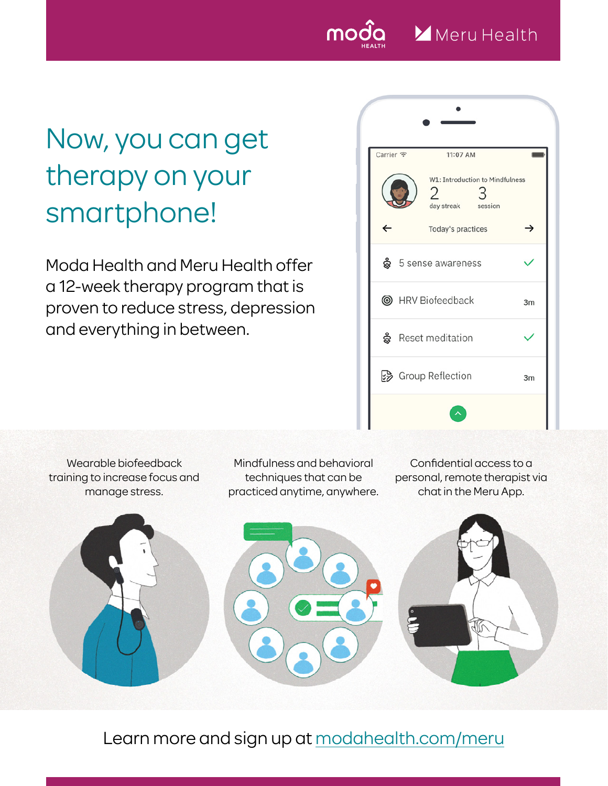

## Now, you can get therapy on your smartphone!

Moda Health and Meru Health offer a 12-week therapy program that is proven to reduce stress, depression and everything in between.

| Carrier 全 | 11:07 AM                                                   |                |
|-----------|------------------------------------------------------------|----------------|
|           | W1: Introduction to Mindfulness<br>2<br>day streak session |                |
|           | Today's practices                                          |                |
|           | දි 5 sense awareness                                       |                |
|           | <b>S</b> HRV Biofeedback                                   | 3 <sub>m</sub> |
|           | မ္တီ Reset meditation                                      |                |
|           | So Group Reflection                                        | 3m             |
|           |                                                            |                |

Wearable biofeedback training to increase focus and manage stress.

Mindfulness and behavioral techniques that can be practiced anytime, anywhere.

Confidential access to a personal, remote therapist via chat in the Meru App.



Learn more and sign up at [modahealth.com/meru](http://modahealth.com/meru)